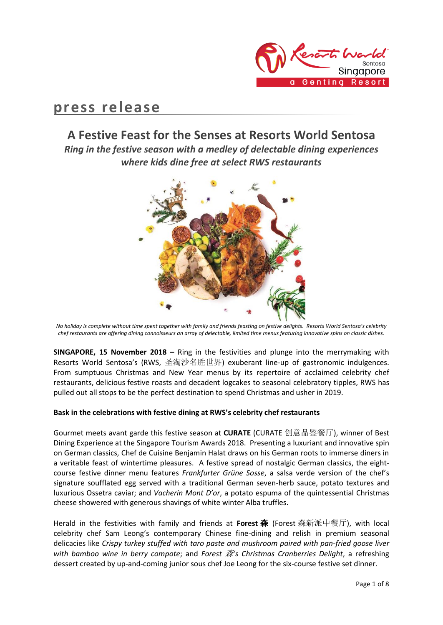

# **press release**

## **A Festive Feast for the Senses at Resorts World Sentosa**

*Ring in the festive season with a medley of delectable dining experiences where kids dine free at select RWS restaurants*



*No holiday is complete without time spent together with family and friends feasting on festive delights. Resorts World Sentosa's celebrity chef restaurants are offering dining connoisseurs an array of delectable, limited time menus featuring innovative spins on classic dishes.*

**SINGAPORE, 15 November 2018 –** Ring in the festivities and plunge into the merrymaking with Resorts World Sentosa's (RWS, 圣淘沙名胜世界) exuberant line-up of gastronomic indulgences. From sumptuous Christmas and New Year menus by its repertoire of acclaimed celebrity chef restaurants, delicious festive roasts and decadent logcakes to seasonal celebratory tipples, RWS has pulled out all stops to be the perfect destination to spend Christmas and usher in 2019.

## **Bask in the celebrations with festive dining at RWS's celebrity chef restaurants**

Gourmet meets avant garde this festive season at **CURATE** (CURATE 创意品鉴餐厅), winner of Best Dining Experience at the Singapore Tourism Awards 2018. Presenting a luxuriant and innovative spin on German classics, Chef de Cuisine Benjamin Halat draws on his German roots to immerse diners in a veritable feast of wintertime pleasures. A festive spread of nostalgic German classics, the eightcourse festive dinner menu features *Frankfurter Grüne Sosse*, a salsa verde version of the chef's signature soufflated egg served with a traditional German seven-herb sauce, potato textures and luxurious Ossetra caviar; and *Vacherin Mont D'or*, a potato espuma of the quintessential Christmas cheese showered with generous shavings of white winter Alba truffles.

Herald in the festivities with family and friends at **Forest** 森 (Forest 森新派中餐厅), with local celebrity chef Sam Leong's contemporary Chinese fine-dining and relish in premium seasonal delicacies like *Crispy turkey stuffed with taro paste and mushroom paired with pan-fried goose liver with bamboo wine in berry compote*; and *Forest* 森*'s Christmas Cranberries Delight*, a refreshing dessert created by up-and-coming junior sous chef Joe Leong for the six-course festive set dinner.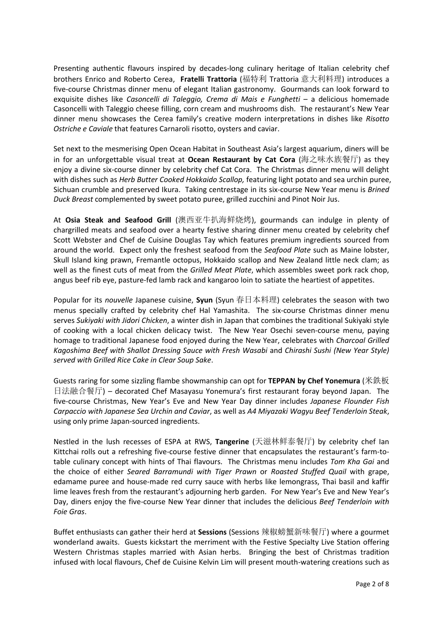Presenting authentic flavours inspired by decades-long culinary heritage of Italian celebrity chef brothers Enrico and Roberto Cerea, **Fratelli Trattoria** (福特利 Trattoria 意大利料理) introduces a five-course Christmas dinner menu of elegant Italian gastronomy. Gourmands can look forward to exquisite dishes like *Casoncelli di Taleggio, Crema di Mais e Funghetti* – a delicious homemade Casoncelli with Taleggio cheese filling, corn cream and mushrooms dish. The restaurant's New Year dinner menu showcases the Cerea family's creative modern interpretations in dishes like *Risotto Ostriche e Caviale* that features Carnaroli risotto, oysters and caviar.

Set next to the mesmerising Open Ocean Habitat in Southeast Asia's largest aquarium, diners will be in for an unforgettable visual treat at **Ocean Restaurant by Cat Cora** (海之味水族餐厅) as they enjoy a divine six-course dinner by celebrity chef Cat Cora. The Christmas dinner menu will delight with dishes such as *Herb Butter Cooked Hokkaido Scallop,* featuring light potato and sea urchin puree, Sichuan crumble and preserved Ikura. Taking centrestage in its six-course New Year menu is *Brined Duck Breast* complemented by sweet potato puree, grilled zucchini and Pinot Noir Jus.

At **Osia Steak and Seafood Grill** (澳西亚牛扒海鲜烧烤), gourmands can indulge in plenty of chargrilled meats and seafood over a hearty festive sharing dinner menu created by celebrity chef Scott Webster and Chef de Cuisine Douglas Tay which features premium ingredients sourced from around the world. Expect only the freshest seafood from the *Seafood Plate* such as Maine lobster, Skull Island king prawn, Fremantle octopus, Hokkaido scallop and New Zealand little neck clam; as well as the finest cuts of meat from the *Grilled Meat Plate*, which assembles sweet pork rack chop, angus beef rib eye, pasture-fed lamb rack and kangaroo loin to satiate the heartiest of appetites.

Popular for its *nouvelle* Japanese cuisine, **Syun** (Syun 春日本料理) celebrates the season with two menus specially crafted by celebrity chef Hal Yamashita. The six-course Christmas dinner menu serves *Sukiyaki with Jidori Chicken*, a winter dish in Japan that combines the traditional Sukiyaki style of cooking with a local chicken delicacy twist. The New Year Osechi seven-course menu, paying homage to traditional Japanese food enjoyed during the New Year, celebrates with *Charcoal Grilled Kagoshima Beef with Shallot Dressing Sauce with Fresh Wasabi* and *Chirashi Sushi (New Year Style) served with Grilled Rice Cake in Clear Soup Sake*.

Guests raring for some sizzling flambe showmanship can opt for **TEPPAN by Chef Yonemura** (米鉄板 日法融合餐厅) – decorated Chef Masayasu Yonemura's first restaurant foray beyond Japan. The five-course Christmas, New Year's Eve and New Year Day dinner includes *Japanese Flounder Fish Carpaccio with Japanese Sea Urchin and Caviar*, as well as *A4 Miyazaki Wagyu Beef Tenderloin Steak*, using only prime Japan-sourced ingredients.

Nestled in the lush recesses of ESPA at RWS, **Tangerine** (天滋林鲜泰餐厅) by celebrity chef Ian Kittchai rolls out a refreshing five-course festive dinner that encapsulates the restaurant's farm-totable culinary concept with hints of Thai flavours. The Christmas menu includes *Tom Kha Gai* and the choice of either *Seared Barramundi with Tiger Prawn* or *Roasted Stuffed Quail* with grape, edamame puree and house-made red curry sauce with herbs like lemongrass, Thai basil and kaffir lime leaves fresh from the restaurant's adjourning herb garden. For New Year's Eve and New Year's Day, diners enjoy the five-course New Year dinner that includes the delicious *Beef Tenderloin with Foie Gras*.

Buffet enthusiasts can gather their herd at **Sessions** (Sessions 辣椒螃蟹新味餐厅) where a gourmet wonderland awaits. Guests kickstart the merriment with the Festive Specialty Live Station offering Western Christmas staples married with Asian herbs. Bringing the best of Christmas tradition infused with local flavours, Chef de Cuisine Kelvin Lim will present mouth-watering creations such as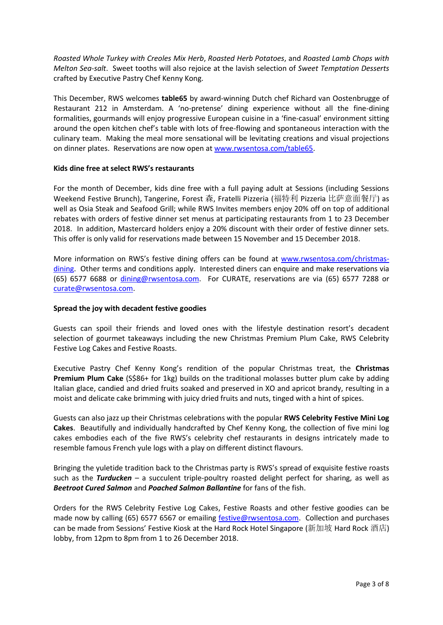*Roasted Whole Turkey with Creoles Mix Herb*, *Roasted Herb Potatoes*, and *Roasted Lamb Chops with Melton Sea-salt*. Sweet tooths will also rejoice at the lavish selection of *Sweet Temptation Desserts* crafted by Executive Pastry Chef Kenny Kong.

This December, RWS welcomes **table65** by award-winning Dutch chef Richard van Oostenbrugge of Restaurant 212 in Amsterdam. A 'no-pretense' dining experience without all the fine-dining formalities, gourmands will enjoy progressive European cuisine in a 'fine-casual' environment sitting around the open kitchen chef's table with lots of free-flowing and spontaneous interaction with the culinary team. Making the meal more sensational will be levitating creations and visual projections on dinner plates. Reservations are now open at [www.rwsentosa.com/table65.](http://www.rwsentosa.com/table65)

#### **Kids dine free at select RWS's restaurants**

For the month of December, kids dine free with a full paying adult at Sessions (including Sessions Weekend Festive Brunch), Tangerine, Forest 森, Fratelli Pizzeria (福特利 Pizzeria 比萨意面餐厅) as well as Osia Steak and Seafood Grill; while RWS Invites members enjoy 20% off on top of additional rebates with orders of festive dinner set menus at participating restaurants from 1 to 23 December 2018. In addition, Mastercard holders enjoy a 20% discount with their order of festive dinner sets. This offer is only valid for reservations made between 15 November and 15 December 2018.

More information on RWS's festive dining offers can be found at [www.rwsentosa.com/christmas](http://www.rwsentosa.com/christmas-dining)[dining.](http://www.rwsentosa.com/christmas-dining) Other terms and conditions apply. Interested diners can enquire and make reservations via (65) 6577 6688 or [dining@rwsentosa.com.](mailto:dining@rwsentosa.com) For CURATE, reservations are via (65) 6577 7288 or [curate@rwsentosa.com.](mailto:curate@rwsentosa.com)

#### **Spread the joy with decadent festive goodies**

Guests can spoil their friends and loved ones with the lifestyle destination resort's decadent selection of gourmet takeaways including the new Christmas Premium Plum Cake, RWS Celebrity Festive Log Cakes and Festive Roasts.

Executive Pastry Chef Kenny Kong's rendition of the popular Christmas treat, the **Christmas Premium Plum Cake** (S\$86+ for 1kg) builds on the traditional molasses butter plum cake by adding Italian glace, candied and dried fruits soaked and preserved in XO and apricot brandy, resulting in a moist and delicate cake brimming with juicy dried fruits and nuts, tinged with a hint of spices.

Guests can also jazz up their Christmas celebrations with the popular **RWS Celebrity Festive Mini Log Cakes**. Beautifully and individually handcrafted by Chef Kenny Kong, the collection of five mini log cakes embodies each of the five RWS's celebrity chef restaurants in designs intricately made to resemble famous French yule logs with a play on different distinct flavours.

Bringing the yuletide tradition back to the Christmas party is RWS's spread of exquisite festive roasts such as the *Turducken* – a succulent triple-poultry roasted delight perfect for sharing, as well as *Beetroot Cured Salmon* and *Poached Salmon Ballantine* for fans of the fish.

Orders for the RWS Celebrity Festive Log Cakes, Festive Roasts and other festive goodies can be made now by calling (65) 6577 6567 or emailing [festive@rwsentosa.com.](mailto:festive@rwsentosa.com) Collection and purchases can be made from Sessions' Festive Kiosk at the Hard Rock Hotel Singapore (新加坡 Hard Rock 酒店) lobby, from 12pm to 8pm from 1 to 26 December 2018.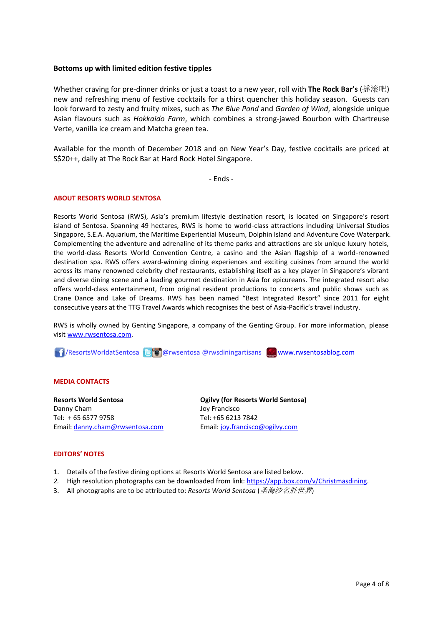#### **Bottoms up with limited edition festive tipples**

Whether craving for pre-dinner drinks or just a toast to a new year, roll with **The Rock Bar's** (摇滚吧) new and refreshing menu of festive cocktails for a thirst quencher this holiday season. Guests can look forward to zesty and fruity mixes, such as *The Blue Pond* and *Garden of Wind*, alongside unique Asian flavours such as *Hokkaido Farm*, which combines a strong-jawed Bourbon with Chartreuse Verte, vanilla ice cream and Matcha green tea.

Available for the month of December 2018 and on New Year's Day, festive cocktails are priced at S\$20++, daily at The Rock Bar at Hard Rock Hotel Singapore.

- Ends -

#### **ABOUT RESORTS WORLD SENTOSA**

Resorts World Sentosa (RWS), Asia's premium lifestyle destination resort, is located on Singapore's resort island of Sentosa. Spanning 49 hectares, RWS is home to world-class attractions including Universal Studios Singapore, S.E.A. Aquarium, the Maritime Experiential Museum, Dolphin Island and Adventure Cove Waterpark. Complementing the adventure and adrenaline of its theme parks and attractions are six unique luxury hotels, the world-class Resorts World Convention Centre, a casino and the Asian flagship of a world-renowned destination spa. RWS offers award-winning dining experiences and exciting cuisines from around the world across its many renowned celebrity chef restaurants, establishing itself as a key player in Singapore's vibrant and diverse dining scene and a leading gourmet destination in Asia for epicureans. The integrated resort also offers world-class entertainment, from original resident productions to concerts and public shows such as Crane Dance and Lake of Dreams. RWS has been named "Best Integrated Resort" since 2011 for eight consecutive years at the TTG Travel Awards which recognises the best of Asia-Pacific's travel industry.

RWS is wholly owned by Genting Singapore, a company of the Genting Group. For more information, please visi[t www.rwsentosa.com.](http://www.rwsentosa.com/)

17/ResortsWorldatSentosa **& @** @ rwsentosa @ rwsdiningartisans [www.rwsentosablog.com](http://www.rwsentosablog.com/)

#### **MEDIA CONTACTS**

**Resorts World Sentosa** Danny Cham Tel: + 65 6577 9758 Email: [danny.cham@rwsentosa.com](mailto:danny.cham@rwsentosa.com) **Ogilvy (for Resorts World Sentosa)** Joy Francisco Tel: +65 6213 7842 Email[: joy.francisco@ogilvy.com](mailto:joy.francisco@ogilvy.com)

#### **EDITORS' NOTES**

- 1. Details of the festive dining options at Resorts World Sentosa are listed below.
- *2.* High resolution photographs can be downloaded from link: [https://app.box.com/v/Christmasdining.](https://app.box.com/v/Christmasdining)
- 3. All photographs are to be attributed to: *Resorts World Sentosa* (圣淘沙名胜世界)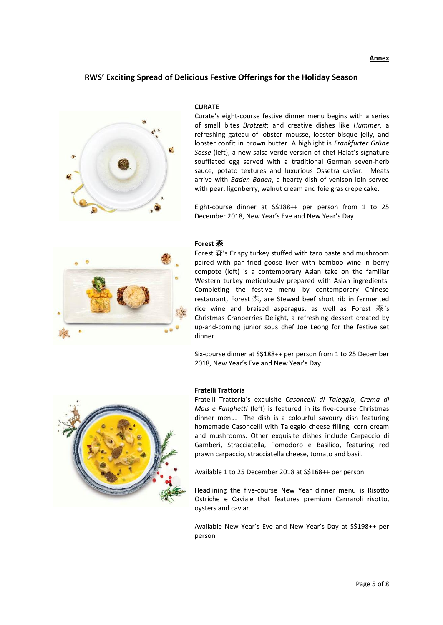#### **Annex**

### **RWS' Exciting Spread of Delicious Festive Offerings for the Holiday Season**



#### **CURATE**

Curate's eight-course festive dinner menu begins with a series of small bites *Brotzeit*; and creative dishes like *Hummer*, a refreshing gateau of lobster mousse, lobster bisque jelly, and lobster confit in brown butter. A highlight is *Frankfurter Grüne Sosse* (left), a new salsa verde version of chef Halat's signature soufflated egg served with a traditional German seven-herb sauce, potato textures and luxurious Ossetra caviar. Meats arrive with *Baden Baden*, a hearty dish of venison loin served with pear, ligonberry, walnut cream and foie gras crepe cake.

Eight-course dinner at S\$188++ per person from 1 to 25 December 2018, New Year's Eve and New Year's Day.



#### **Forest** 森

Forest 森's Crispy turkey stuffed with taro paste and mushroom paired with pan-fried goose liver with bamboo wine in berry compote (left) is a contemporary Asian take on the familiar Western turkey meticulously prepared with Asian ingredients. Completing the festive menu by contemporary Chinese restaurant, Forest 森, are Stewed beef short rib in fermented rice wine and braised asparagus; as well as Forest 森's Christmas Cranberries Delight, a refreshing dessert created by up-and-coming junior sous chef Joe Leong for the festive set dinner.

Six-course dinner at S\$188++ per person from 1 to 25 December 2018, New Year's Eve and New Year's Day.



#### **Fratelli Trattoria**

Fratelli Trattoria's exquisite *Casoncelli di Taleggio, Crema di Mais e Funghetti* (left) is featured in its five-course Christmas dinner menu. The dish is a colourful savoury dish featuring homemade Casoncelli with Taleggio cheese filling, corn cream and mushrooms. Other exquisite dishes include Carpaccio di Gamberi, Stracciatella, Pomodoro e Basilico, featuring red prawn carpaccio, stracciatella cheese, tomato and basil.

Available 1 to 25 December 2018 at S\$168++ per person

Headlining the five-course New Year dinner menu is Risotto Ostriche e Caviale that features premium Carnaroli risotto, oysters and caviar.

Available New Year's Eve and New Year's Day at S\$198++ per person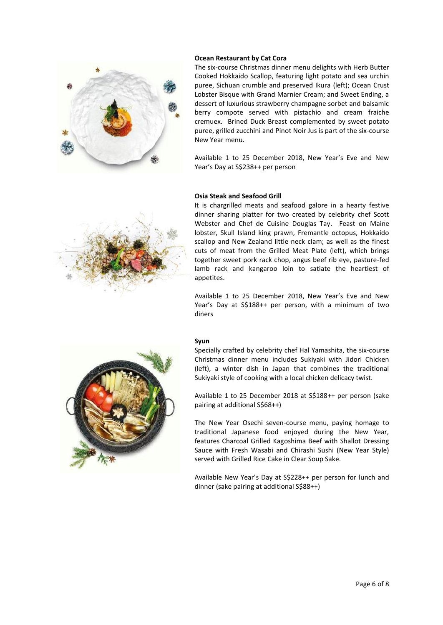

#### **Ocean Restaurant by Cat Cora**

The six-course Christmas dinner menu delights with Herb Butter Cooked Hokkaido Scallop, featuring light potato and sea urchin puree, Sichuan crumble and preserved Ikura (left); Ocean Crust Lobster Bisque with Grand Marnier Cream; and Sweet Ending, a dessert of luxurious strawberry champagne sorbet and balsamic berry compote served with pistachio and cream fraiche cremuex. Brined Duck Breast complemented by sweet potato puree, grilled zucchini and Pinot Noir Jus is part of the six-course New Year menu.

Available 1 to 25 December 2018, New Year's Eve and New Year's Day at S\$238++ per person

#### **Osia Steak and Seafood Grill**



It is chargrilled meats and seafood galore in a hearty festive dinner sharing platter for two created by celebrity chef Scott Webster and Chef de Cuisine Douglas Tay. Feast on Maine lobster, Skull Island king prawn, Fremantle octopus, Hokkaido scallop and New Zealand little neck clam; as well as the finest cuts of meat from the Grilled Meat Plate (left), which brings together sweet pork rack chop, angus beef rib eye, pasture-fed lamb rack and kangaroo loin to satiate the heartiest of appetites.

Available 1 to 25 December 2018, New Year's Eve and New Year's Day at S\$188++ per person, with a minimum of two diners

#### **Syun**

Specially crafted by celebrity chef Hal Yamashita, the six-course Christmas dinner menu includes Sukiyaki with Jidori Chicken (left), a winter dish in Japan that combines the traditional Sukiyaki style of cooking with a local chicken delicacy twist.

Available 1 to 25 December 2018 at S\$188++ per person (sake pairing at additional S\$68++)

The New Year Osechi seven-course menu, paying homage to traditional Japanese food enjoyed during the New Year, features Charcoal Grilled Kagoshima Beef with Shallot Dressing Sauce with Fresh Wasabi and Chirashi Sushi (New Year Style) served with Grilled Rice Cake in Clear Soup Sake.

Available New Year's Day at S\$228++ per person for lunch and dinner (sake pairing at additional S\$88++)

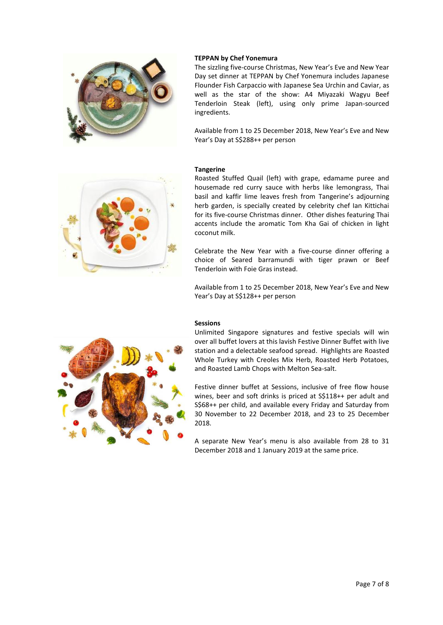

#### **TEPPAN by Chef Yonemura**

The sizzling five-course Christmas, New Year's Eve and New Year Day set dinner at TEPPAN by Chef Yonemura includes Japanese Flounder Fish Carpaccio with Japanese Sea Urchin and Caviar, as well as the star of the show: A4 Miyazaki Wagyu Beef Tenderloin Steak (left), using only prime Japan-sourced ingredients.

Available from 1 to 25 December 2018, New Year's Eve and New Year's Day at S\$288++ per person

#### **Tangerine**



Roasted Stuffed Quail (left) with grape, edamame puree and housemade red curry sauce with herbs like lemongrass, Thai basil and kaffir lime leaves fresh from Tangerine's adjourning herb garden, is specially created by celebrity chef Ian Kittichai for its five-course Christmas dinner. Other dishes featuring Thai accents include the aromatic Tom Kha Gai of chicken in light coconut milk.

Celebrate the New Year with a five-course dinner offering a choice of Seared barramundi with tiger prawn or Beef Tenderloin with Foie Gras instead.

Available from 1 to 25 December 2018, New Year's Eve and New Year's Day at S\$128++ per person

#### **Sessions**

Unlimited Singapore signatures and festive specials will win over all buffet lovers at this lavish Festive Dinner Buffet with live station and a delectable seafood spread. Highlights are Roasted Whole Turkey with Creoles Mix Herb, Roasted Herb Potatoes, and Roasted Lamb Chops with Melton Sea-salt.

Festive dinner buffet at Sessions, inclusive of free flow house wines, beer and soft drinks is priced at S\$118++ per adult and S\$68++ per child, and available every Friday and Saturday from 30 November to 22 December 2018, and 23 to 25 December 2018.

A separate New Year's menu is also available from 28 to 31 December 2018 and 1 January 2019 at the same price.